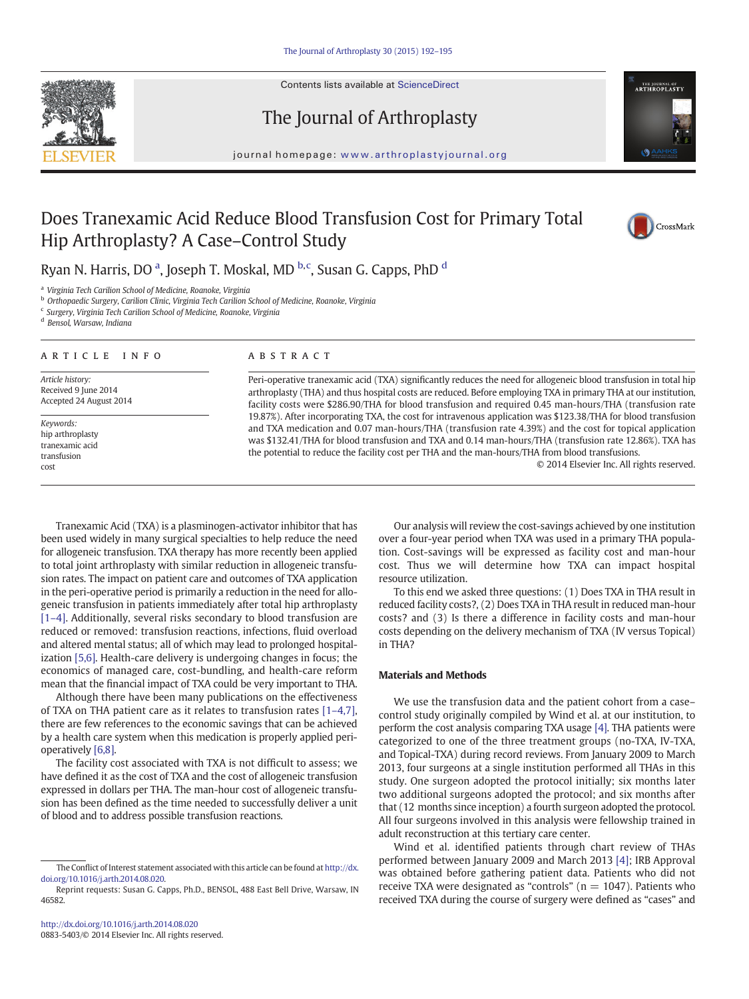Contents lists available at ScienceDirect







journal homepage: www.arthroplastyjournal.org

# Does Tranexamic Acid Reduce Blood Transfusion Cost for Primary Total Hip Arthroplasty? A Case–Control Study



Ryan N. Harris, DO <sup>a</sup>, Joseph T. Moskal, MD <sup>b,c</sup>, Susan G. Capps, PhD <sup>d</sup>

<sup>a</sup> Virginia Tech Carilion School of Medicine, Roanoke, Virginia

**b** Orthopaedic Surgery, Carilion Clinic, Virginia Tech Carilion School of Medicine, Roanoke, Virginia

 $\epsilon$  Surgery, Virginia Tech Carilion School of Medicine, Roanoke, Virginia

<sup>d</sup> Bensol, Warsaw, Indiana

#### article info abstract

Article history: Received 9 June 2014 Accepted 24 August 2014

Keywords: hip arthroplasty tranexamic acid transfusion cost

Peri-operative tranexamic acid (TXA) significantly reduces the need for allogeneic blood transfusion in total hip arthroplasty (THA) and thus hospital costs are reduced. Before employing TXA in primary THA at our institution, facility costs were \$286.90/THA for blood transfusion and required 0.45 man-hours/THA (transfusion rate 19.87%). After incorporating TXA, the cost for intravenous application was \$123.38/THA for blood transfusion and TXA medication and 0.07 man-hours/THA (transfusion rate 4.39%) and the cost for topical application was \$132.41/THA for blood transfusion and TXA and 0.14 man-hours/THA (transfusion rate 12.86%). TXA has the potential to reduce the facility cost per THA and the man-hours/THA from blood transfusions.

© 2014 Elsevier Inc. All rights reserved.

Tranexamic Acid (TXA) is a plasminogen-activator inhibitor that has been used widely in many surgical specialties to help reduce the need for allogeneic transfusion. TXA therapy has more recently been applied to total joint arthroplasty with similar reduction in allogeneic transfusion rates. The impact on patient care and outcomes of TXA application in the peri-operative period is primarily a reduction in the need for allogeneic transfusion in patients immediately after total hip arthroplasty [\[1](#page-3-0)–4]. Additionally, several risks secondary to blood transfusion are reduced or removed: transfusion reactions, infections, fluid overload and altered mental status; all of which may lead to prolonged hospitalization [\[5,6\].](#page-3-0) Health-care delivery is undergoing changes in focus; the economics of managed care, cost-bundling, and health-care reform mean that the financial impact of TXA could be very important to THA.

Although there have been many publications on the effectiveness of TXA on THA patient care as it relates to transfusion rates [1–[4,7\],](#page-3-0) there are few references to the economic savings that can be achieved by a health care system when this medication is properly applied perioperatively [\[6,8\]](#page-3-0).

The facility cost associated with TXA is not difficult to assess; we have defined it as the cost of TXA and the cost of allogeneic transfusion expressed in dollars per THA. The man-hour cost of allogeneic transfusion has been defined as the time needed to successfully deliver a unit of blood and to address possible transfusion reactions.

Our analysis will review the cost-savings achieved by one institution over a four-year period when TXA was used in a primary THA population. Cost-savings will be expressed as facility cost and man-hour cost. Thus we will determine how TXA can impact hospital resource utilization.

To this end we asked three questions: (1) Does TXA in THA result in reduced facility costs?, (2) Does TXA in THA result in reduced man-hour costs? and (3) Is there a difference in facility costs and man-hour costs depending on the delivery mechanism of TXA (IV versus Topical) in THA?

#### Materials and Methods

We use the transfusion data and the patient cohort from a case– control study originally compiled by Wind et al. at our institution, to perform the cost analysis comparing TXA usage [\[4\]](#page-3-0). THA patients were categorized to one of the three treatment groups (no-TXA, IV-TXA, and Topical-TXA) during record reviews. From January 2009 to March 2013, four surgeons at a single institution performed all THAs in this study. One surgeon adopted the protocol initially; six months later two additional surgeons adopted the protocol; and six months after that (12 months since inception) a fourth surgeon adopted the protocol. All four surgeons involved in this analysis were fellowship trained in adult reconstruction at this tertiary care center.

Wind et al. identified patients through chart review of THAs performed between January 2009 and March 2013 [\[4\];](#page-3-0) IRB Approval was obtained before gathering patient data. Patients who did not receive TXA were designated as "controls" ( $n = 1047$ ). Patients who received TXA during the course of surgery were defined as "cases" and

The Conflict of Interest statement associated with this article can be found at [http://dx.](http://dx.doi.org/10.1016/j.arth.2014.08.020) [doi.org/10.1016/j.arth.2014.08.020](http://dx.doi.org/10.1016/j.arth.2014.08.020).

Reprint requests: Susan G. Capps, Ph.D., BENSOL, 488 East Bell Drive, Warsaw, IN 46582.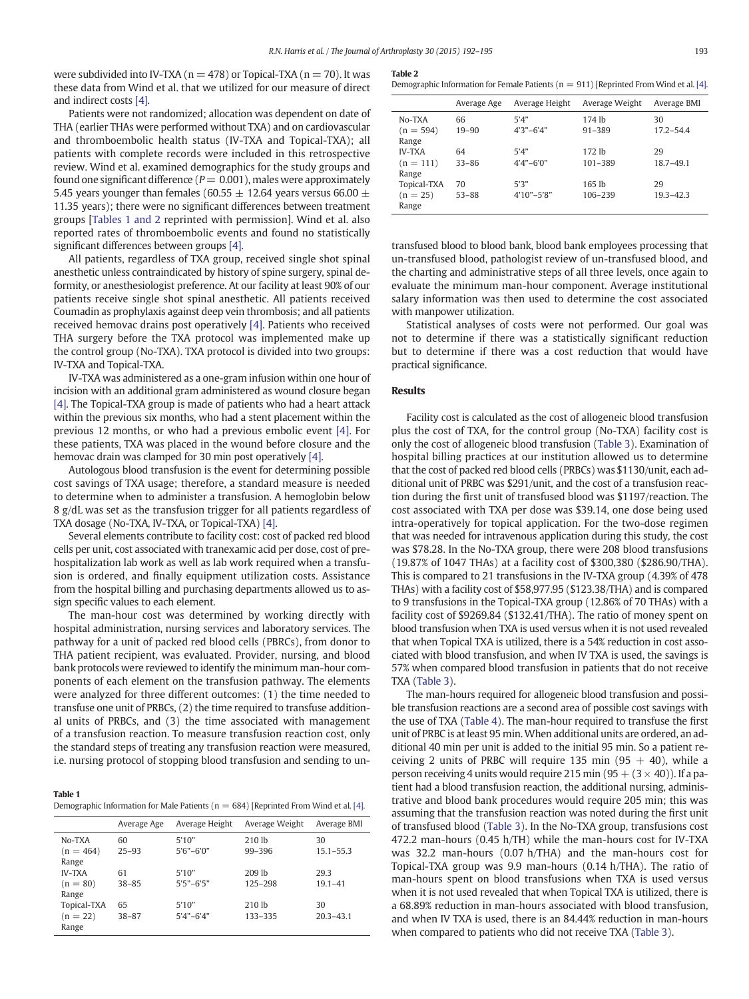were subdivided into IV-TXA ( $n = 478$ ) or Topical-TXA ( $n = 70$ ). It was these data from Wind et al. that we utilized for our measure of direct and indirect costs [\[4\]](#page-3-0).

Patients were not randomized; allocation was dependent on date of THA (earlier THAs were performed without TXA) and on cardiovascular and thromboembolic health status (IV-TXA and Topical-TXA); all patients with complete records were included in this retrospective review. Wind et al. examined demographics for the study groups and found one significant difference ( $P = 0.001$ ), males were approximately 5.45 years younger than females (60.55  $\pm$  12.64 years versus 66.00  $\pm$ 11.35 years); there were no significant differences between treatment groups [Tables 1 and 2 reprinted with permission]. Wind et al. also reported rates of thromboembolic events and found no statistically significant differences between groups [\[4\]](#page-3-0).

All patients, regardless of TXA group, received single shot spinal anesthetic unless contraindicated by history of spine surgery, spinal deformity, or anesthesiologist preference. At our facility at least 90% of our patients receive single shot spinal anesthetic. All patients received Coumadin as prophylaxis against deep vein thrombosis; and all patients received hemovac drains post operatively [\[4\]](#page-3-0). Patients who received THA surgery before the TXA protocol was implemented make up the control group (No-TXA). TXA protocol is divided into two groups: IV-TXA and Topical-TXA.

IV-TXA was administered as a one-gram infusion within one hour of incision with an additional gram administered as wound closure began [\[4\]](#page-3-0). The Topical-TXA group is made of patients who had a heart attack within the previous six months, who had a stent placement within the previous 12 months, or who had a previous embolic event [\[4\].](#page-3-0) For these patients, TXA was placed in the wound before closure and the hemovac drain was clamped for 30 min post operatively [\[4\].](#page-3-0)

Autologous blood transfusion is the event for determining possible cost savings of TXA usage; therefore, a standard measure is needed to determine when to administer a transfusion. A hemoglobin below 8 g/dL was set as the transfusion trigger for all patients regardless of TXA dosage (No-TXA, IV-TXA, or Topical-TXA) [\[4\]](#page-3-0).

Several elements contribute to facility cost: cost of packed red blood cells per unit, cost associated with tranexamic acid per dose, cost of prehospitalization lab work as well as lab work required when a transfusion is ordered, and finally equipment utilization costs. Assistance from the hospital billing and purchasing departments allowed us to assign specific values to each element.

The man-hour cost was determined by working directly with hospital administration, nursing services and laboratory services. The pathway for a unit of packed red blood cells (PBRCs), from donor to THA patient recipient, was evaluated. Provider, nursing, and blood bank protocols were reviewed to identify the minimum man-hour components of each element on the transfusion pathway. The elements were analyzed for three different outcomes: (1) the time needed to transfuse one unit of PRBCs, (2) the time required to transfuse additional units of PRBCs, and (3) the time associated with management of a transfusion reaction. To measure transfusion reaction cost, only the standard steps of treating any transfusion reaction were measured, i.e. nursing protocol of stopping blood transfusion and sending to un-

#### Table 1

Demographic Information for Male Patients ( $n = 684$ ) [Reprinted From Wind et al. [\[4\]](#page-3-0).

|                                      | Average Age     | Average Height           | Average Weight                  | Average BMI         |
|--------------------------------------|-----------------|--------------------------|---------------------------------|---------------------|
| No-TXA<br>$(n = 464)$<br>Range       | 60<br>$25 - 93$ | 5'10"<br>$5'6'' - 6'0''$ | 210 <sub>1b</sub><br>$99 - 396$ | 30<br>$15.1 - 55.3$ |
| <b>IV-TXA</b><br>$(n = 80)$<br>Range | 61<br>$38 - 85$ | 5'10"<br>$5'5'' - 6'5''$ | $209$ lb<br>125-298             | 29.3<br>$19.1 - 41$ |
| Topical-TXA<br>$(n = 22)$<br>Range   | 65<br>$38 - 87$ | 5'10"<br>$5'4" - 6'4"$   | 210 <sub>1b</sub><br>133-335    | 30<br>$20.3 - 43.1$ |

#### Table 2

Demographic Information for Female Patients ( $n = 911$ ) [Reprinted From Wind et al. [\[4\]](#page-3-0).

|                      | Average Age | Average Height | Average Weight | Average BMI   |
|----------------------|-------------|----------------|----------------|---------------|
| No-TXA               | 66          | 5'4"           | 174 lb         | 30            |
| $(n = 594)$<br>Range | $19 - 90$   | $4'3''-6'4"$   | $91 - 389$     | $17.2 - 54.4$ |
| <b>IV-TXA</b>        | 64          | 5'4"           | 172 lb         | 29            |
| $(n = 111)$<br>Range | $33 - 86$   | $4'4" - 6'0"$  | 101-389        | $18.7 - 49.1$ |
| Topical-TXA          | 70          | 5'3"           | 165 lb         | 29            |
| $(n = 25)$<br>Range  | $53 - 88$   | $4'10" - 5'8"$ | 106-239        | $19.3 - 42.3$ |

transfused blood to blood bank, blood bank employees processing that un-transfused blood, pathologist review of un-transfused blood, and the charting and administrative steps of all three levels, once again to evaluate the minimum man-hour component. Average institutional salary information was then used to determine the cost associated with manpower utilization.

Statistical analyses of costs were not performed. Our goal was not to determine if there was a statistically significant reduction but to determine if there was a cost reduction that would have practical significance.

#### **Results**

Facility cost is calculated as the cost of allogeneic blood transfusion plus the cost of TXA, for the control group (No-TXA) facility cost is only the cost of allogeneic blood transfusion [\(Table 3\)](#page-2-0). Examination of hospital billing practices at our institution allowed us to determine that the cost of packed red blood cells (PRBCs) was \$1130/unit, each additional unit of PRBC was \$291/unit, and the cost of a transfusion reaction during the first unit of transfused blood was \$1197/reaction. The cost associated with TXA per dose was \$39.14, one dose being used intra-operatively for topical application. For the two-dose regimen that was needed for intravenous application during this study, the cost was \$78.28. In the No-TXA group, there were 208 blood transfusions (19.87% of 1047 THAs) at a facility cost of \$300,380 (\$286.90/THA). This is compared to 21 transfusions in the IV-TXA group (4.39% of 478 THAs) with a facility cost of \$58,977.95 (\$123.38/THA) and is compared to 9 transfusions in the Topical-TXA group (12.86% of 70 THAs) with a facility cost of \$9269.84 (\$132.41/THA). The ratio of money spent on blood transfusion when TXA is used versus when it is not used revealed that when Topical TXA is utilized, there is a 54% reduction in cost associated with blood transfusion, and when IV TXA is used, the savings is 57% when compared blood transfusion in patients that do not receive TXA ([Table 3](#page-2-0)).

The man-hours required for allogeneic blood transfusion and possible transfusion reactions are a second area of possible cost savings with the use of TXA [\(Table 4](#page-2-0)). The man-hour required to transfuse the first unit of PRBC is at least 95 min.When additional units are ordered, an additional 40 min per unit is added to the initial 95 min. So a patient receiving 2 units of PRBC will require 135 min  $(95 + 40)$ , while a person receiving 4 units would require 215 min  $(95 + (3 \times 40))$ . If a patient had a blood transfusion reaction, the additional nursing, administrative and blood bank procedures would require 205 min; this was assuming that the transfusion reaction was noted during the first unit of transfused blood ([Table 3\)](#page-2-0). In the No-TXA group, transfusions cost 472.2 man-hours (0.45 h/TH) while the man-hours cost for IV-TXA was 32.2 man-hours (0.07 h/THA) and the man-hours cost for Topical-TXA group was 9.9 man-hours (0.14 h/THA). The ratio of man-hours spent on blood transfusions when TXA is used versus when it is not used revealed that when Topical TXA is utilized, there is a 68.89% reduction in man-hours associated with blood transfusion, and when IV TXA is used, there is an 84.44% reduction in man-hours when compared to patients who did not receive TXA ([Table 3](#page-2-0)).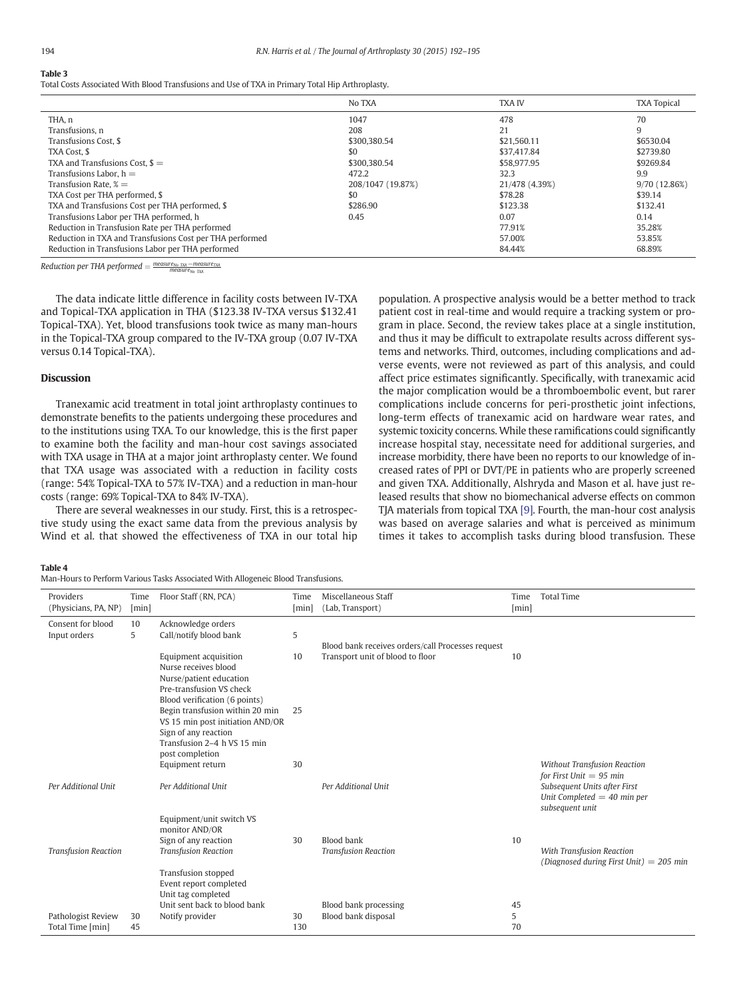## <span id="page-2-0"></span>Table 3

Total Costs Associated With Blood Transfusions and Use of TXA in Primary Total Hip Arthroplasty.

|                                                          | No TXA            | <b>TXA IV</b>  | <b>TXA Topical</b> |
|----------------------------------------------------------|-------------------|----------------|--------------------|
| THA, n                                                   | 1047              | 478            | 70                 |
| Transfusions, n                                          | 208               | 21             | 9                  |
| Transfusions Cost, \$                                    | \$300,380.54      | \$21.560.11    | \$6530.04          |
| TXA Cost. \$                                             | \$0               | \$37,417.84    | \$2739.80          |
| TXA and Transfusions Cost. $\text{\$ =}$                 | \$300,380.54      | \$58,977.95    | \$9269.84          |
| Transfusions Labor. $h =$                                | 472.2             | 32.3           | 9.9                |
| Transfusion Rate, $\% =$                                 | 208/1047 (19.87%) | 21/478 (4.39%) | 9/70 (12.86%)      |
| TXA Cost per THA performed, \$                           | \$0               | \$78.28        | \$39.14            |
| TXA and Transfusions Cost per THA performed, \$          | \$286.90          | \$123.38       | \$132.41           |
| Transfusions Labor per THA performed, h                  | 0.45              | 0.07           | 0.14               |
| Reduction in Transfusion Rate per THA performed          |                   | 77.91%         | 35.28%             |
| Reduction in TXA and Transfusions Cost per THA performed |                   | 57.00%         | 53.85%             |
| Reduction in Transfusions Labor per THA performed        |                   | 84.44%         | 68.89%             |

Reduction per THA performed  $=\frac{measure_{No-TA}-measure_{TVA}}{measure_{No-TA}}$ 

The data indicate little difference in facility costs between IV-TXA and Topical-TXA application in THA (\$123.38 IV-TXA versus \$132.41 Topical-TXA). Yet, blood transfusions took twice as many man-hours in the Topical-TXA group compared to the IV-TXA group (0.07 IV-TXA versus 0.14 Topical-TXA).

### Discussion

Tranexamic acid treatment in total joint arthroplasty continues to demonstrate benefits to the patients undergoing these procedures and to the institutions using TXA. To our knowledge, this is the first paper to examine both the facility and man-hour cost savings associated with TXA usage in THA at a major joint arthroplasty center. We found that TXA usage was associated with a reduction in facility costs (range: 54% Topical-TXA to 57% IV-TXA) and a reduction in man-hour costs (range: 69% Topical-TXA to 84% IV-TXA).

There are several weaknesses in our study. First, this is a retrospective study using the exact same data from the previous analysis by Wind et al. that showed the effectiveness of TXA in our total hip population. A prospective analysis would be a better method to track patient cost in real-time and would require a tracking system or program in place. Second, the review takes place at a single institution, and thus it may be difficult to extrapolate results across different systems and networks. Third, outcomes, including complications and adverse events, were not reviewed as part of this analysis, and could affect price estimates significantly. Specifically, with tranexamic acid the major complication would be a thromboembolic event, but rarer complications include concerns for peri-prosthetic joint infections, long-term effects of tranexamic acid on hardware wear rates, and systemic toxicity concerns. While these ramifications could significantly increase hospital stay, necessitate need for additional surgeries, and increase morbidity, there have been no reports to our knowledge of increased rates of PPI or DVT/PE in patients who are properly screened and given TXA. Additionally, Alshryda and Mason et al. have just released results that show no biomechanical adverse effects on common TJA materials from topical TXA [\[9\].](#page-3-0) Fourth, the man-hour cost analysis was based on average salaries and what is perceived as minimum times it takes to accomplish tasks during blood transfusion. These

#### Table 4

Man-Hours to Perform Various Tasks Associated With Allogeneic Blood Transfusions.

| Providers<br>(Physicians, PA, NP)      | Time<br>[min] | Floor Staff (RN, PCA)                                                                                                                         | Time<br>[min] | Miscellaneous Staff<br>(Lab, Transport)                                               | Time<br>[min] | <b>Total Time</b>                                                                                                                                    |
|----------------------------------------|---------------|-----------------------------------------------------------------------------------------------------------------------------------------------|---------------|---------------------------------------------------------------------------------------|---------------|------------------------------------------------------------------------------------------------------------------------------------------------------|
| Consent for blood<br>Input orders      | 10<br>5       | Acknowledge orders<br>Call/notify blood bank                                                                                                  | 5             |                                                                                       |               |                                                                                                                                                      |
|                                        |               | Equipment acquisition<br>Nurse receives blood<br>Nurse/patient education<br>Pre-transfusion VS check<br>Blood verification (6 points)         | 10            | Blood bank receives orders/call Processes request<br>Transport unit of blood to floor | 10            |                                                                                                                                                      |
|                                        |               | Begin transfusion within 20 min<br>VS 15 min post initiation AND/OR<br>Sign of any reaction<br>Transfusion 2-4 h VS 15 min<br>post completion | 25            |                                                                                       |               |                                                                                                                                                      |
| Per Additional Unit                    |               | Equipment return<br>Per Additional Unit                                                                                                       | 30            | Per Additional Unit                                                                   |               | <b>Without Transfusion Reaction</b><br>for First Unit $= 95$ min<br>Subsequent Units after First<br>Unit Completed $=$ 40 min per<br>subsequent unit |
|                                        |               | Equipment/unit switch VS<br>monitor AND/OR                                                                                                    |               |                                                                                       |               |                                                                                                                                                      |
| <b>Transfusion Reaction</b>            |               | Sign of any reaction<br><b>Transfusion Reaction</b>                                                                                           | 30            | <b>Blood bank</b><br><b>Transfusion Reaction</b>                                      | 10            | With Transfusion Reaction<br>(Diagnosed during First Unit) $=$ 205 min                                                                               |
|                                        |               | Transfusion stopped<br>Event report completed<br>Unit tag completed                                                                           |               |                                                                                       |               |                                                                                                                                                      |
| Pathologist Review<br>Total Time [min] | 30<br>45      | Unit sent back to blood bank<br>Notify provider                                                                                               | 30<br>130     | Blood bank processing<br>Blood bank disposal                                          | 45<br>5<br>70 |                                                                                                                                                      |